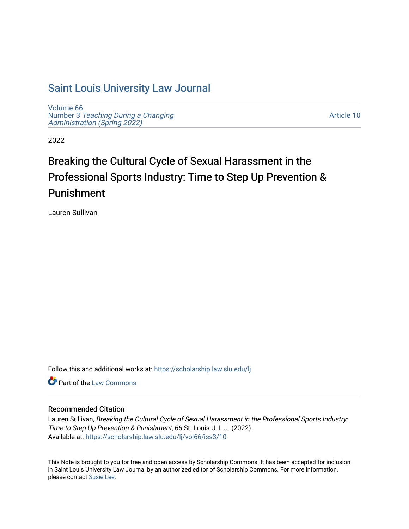# [Saint Louis University Law Journal](https://scholarship.law.slu.edu/lj)

[Volume 66](https://scholarship.law.slu.edu/lj/vol66) Number 3 [Teaching During a Changing](https://scholarship.law.slu.edu/lj/vol66/iss3)  Administration (Spring 2022)

[Article 10](https://scholarship.law.slu.edu/lj/vol66/iss3/10) 

2022

# Breaking the Cultural Cycle of Sexual Harassment in the Professional Sports Industry: Time to Step Up Prevention & Punishment

Lauren Sullivan

Follow this and additional works at: [https://scholarship.law.slu.edu/lj](https://scholarship.law.slu.edu/lj?utm_source=scholarship.law.slu.edu%2Flj%2Fvol66%2Fiss3%2F10&utm_medium=PDF&utm_campaign=PDFCoverPages) 

**C** Part of the [Law Commons](https://network.bepress.com/hgg/discipline/578?utm_source=scholarship.law.slu.edu%2Flj%2Fvol66%2Fiss3%2F10&utm_medium=PDF&utm_campaign=PDFCoverPages)

# Recommended Citation

Lauren Sullivan, Breaking the Cultural Cycle of Sexual Harassment in the Professional Sports Industry: Time to Step Up Prevention & Punishment, 66 St. Louis U. L.J. (2022). Available at: [https://scholarship.law.slu.edu/lj/vol66/iss3/10](https://scholarship.law.slu.edu/lj/vol66/iss3/10?utm_source=scholarship.law.slu.edu%2Flj%2Fvol66%2Fiss3%2F10&utm_medium=PDF&utm_campaign=PDFCoverPages)

This Note is brought to you for free and open access by Scholarship Commons. It has been accepted for inclusion in Saint Louis University Law Journal by an authorized editor of Scholarship Commons. For more information, please contact [Susie Lee.](mailto:susie.lee@slu.edu)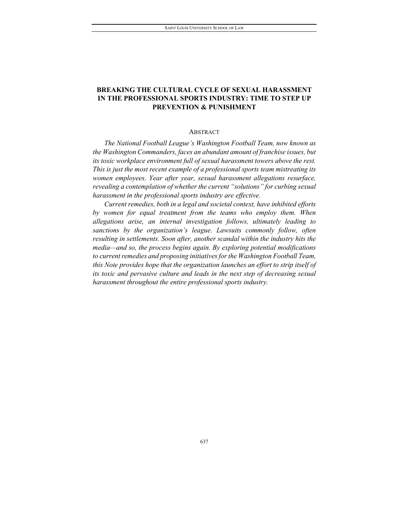# **BREAKING THE CULTURAL CYCLE OF SEXUAL HARASSMENT IN THE PROFESSIONAL SPORTS INDUSTRY: TIME TO STEP UP PREVENTION & PUNISHMENT**

# ABSTRACT

*The National Football League's Washington Football Team, now known as the Washington Commanders, faces an abundant amount of franchise issues, but its toxic workplace environment full of sexual harassment towers above the rest. This is just the most recent example of a professional sports team mistreating its women employees. Year after year, sexual harassment allegations resurface, revealing a contemplation of whether the current "solutions" for curbing sexual harassment in the professional sports industry are effective.* 

*Current remedies, both in a legal and societal context, have inhibited efforts by women for equal treatment from the teams who employ them. When allegations arise, an internal investigation follows, ultimately leading to sanctions by the organization's league. Lawsuits commonly follow, often resulting in settlements. Soon after, another scandal within the industry hits the media—and so, the process begins again. By exploring potential modifications to current remedies and proposing initiatives for the Washington Football Team, this Note provides hope that the organization launches an effort to strip itself of its toxic and pervasive culture and leads in the next step of decreasing sexual harassment throughout the entire professional sports industry.*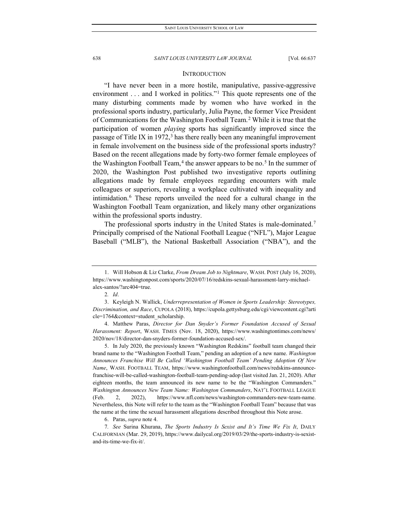#### **INTRODUCTION**

"I have never been in a more hostile, manipulative, passive-aggressive environment . . . and I worked in politics."<sup>[1](#page-2-0)</sup> This quote represents one of the many disturbing comments made by women who have worked in the professional sports industry, particularly, Julia Payne, the former Vice President of Communications for the Washington Football Team.[2](#page-2-1) While it is true that the participation of women *playing* sports has significantly improved since the passage of Title IX in 1972, $3$  has there really been any meaningful improvement in female involvement on the business side of the professional sports industry? Based on the recent allegations made by forty-two former female employees of the Washington Football Team,<sup>[4](#page-2-3)</sup> the answer appears to be no.<sup>[5](#page-2-4)</sup> In the summer of 2020, the Washington Post published two investigative reports outlining allegations made by female employees regarding encounters with male colleagues or superiors, revealing a workplace cultivated with inequality and intimidation.[6](#page-2-5) These reports unveiled the need for a cultural change in the Washington Football Team organization, and likely many other organizations within the professional sports industry.

The professional sports industry in the United States is male-dominated.<sup>[7](#page-2-6)</sup> Principally comprised of the National Football League ("NFL"), Major League Baseball ("MLB"), the National Basketball Association ("NBA"), and the

<span id="page-2-0"></span><sup>1.</sup> Will Hobson & Liz Clarke, *From Dream Job to Nightmare*, WASH. POST (July 16, 2020), https://www.washingtonpost.com/sports/2020/07/16/redskins-sexual-harassment-larry-michaelalex-santos/?arc404=true.

<sup>2</sup>*. Id*.

<span id="page-2-2"></span><span id="page-2-1"></span><sup>3.</sup> Keyleigh N. Wallick, *Underrepresentation of Women in Sports Leadership: Stereotypes, Discrimination, and Race*, CUPOLA (2018), https://cupola.gettysburg.edu/cgi/viewcontent.cgi?arti cle=1764&context=student\_scholarship.

<span id="page-2-3"></span><sup>4.</sup> Matthew Paras, *Director for Dan Snyder's Former Foundation Accused of Sexual Harassment: Report*, WASH. TIMES (Nov. 18, 2020), https://www.washingtontimes.com/news/ 2020/nov/18/director-dan-snyders-former-foundation-accused-sex/.

<span id="page-2-4"></span><sup>5.</sup> In July 2020, the previously known "Washington Redskins" football team changed their brand name to the "Washington Football Team," pending an adoption of a new name. *Washington Announces Franchise Will Be Called 'Washington Football Team' Pending Adoption Of New Name*, WASH. FOOTBALL TEAM, https://www.washingtonfootball.com/news/redskins-announcefranchise-will-be-called-washington-football-team-pending-adop (last visited Jan. 21, 2020). After eighteen months, the team announced its new name to be the "Washington Commanders." *Washington Announces New Team Name: Washington Commanders*, NAT'L FOOTBALL LEAGUE (Feb. 2, 2022), https://www.nfl.com/news/washington-commanders-new-team-name. Nevertheless, this Note will refer to the team as the "Washington Football Team" because that was the name at the time the sexual harassment allegations described throughout this Note arose.

<sup>6.</sup> Paras, *supra* note 4.

<span id="page-2-6"></span><span id="page-2-5"></span><sup>7</sup>*. See* Surina Khurana, *The Sports Industry Is Sexist and It's Time We Fix It*, DAILY CALIFORNIAN (Mar. 29, 2019), https://www.dailycal.org/2019/03/29/the-sports-industry-is-sexistand-its-time-we-fix-it/.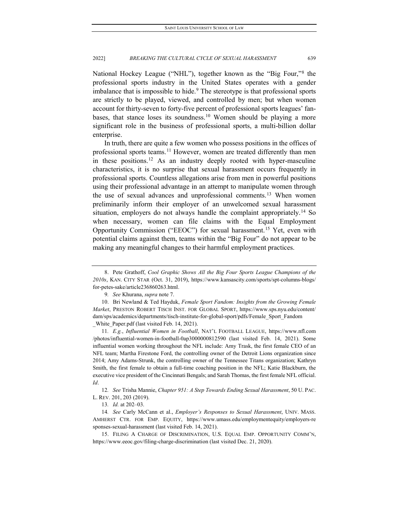National Hockey League ("NHL"), together known as the "Big Four,"[8](#page-3-0) the professional sports industry in the United States operates with a gender imbalance that is impossible to hide.<sup>[9](#page-3-1)</sup> The stereotype is that professional sports are strictly to be played, viewed, and controlled by men; but when women account for thirty-seven to forty-five percent of professional sports leagues' fan-bases, that stance loses its soundness.<sup>[10](#page-3-2)</sup> Women should be playing a more significant role in the business of professional sports, a multi-billion dollar enterprise.

In truth, there are quite a few women who possess positions in the offices of professional sports teams.<sup>[11](#page-3-3)</sup> However, women are treated differently than men in these positions.<sup>[12](#page-3-4)</sup> As an industry deeply rooted with hyper-masculine characteristics, it is no surprise that sexual harassment occurs frequently in professional sports. Countless allegations arise from men in powerful positions using their professional advantage in an attempt to manipulate women through the use of sexual advances and unprofessional comments.<sup>[13](#page-3-5)</sup> When women preliminarily inform their employer of an unwelcomed sexual harassment situation, employers do not always handle the complaint appropriately.<sup>[14](#page-3-6)</sup> So when necessary, women can file claims with the Equal Employment Opportunity Commission ("EEOC") for sexual harassment.[15](#page-3-7) Yet, even with potential claims against them, teams within the "Big Four" do not appear to be making any meaningful changes to their harmful employment practices.

<span id="page-3-3"></span>11*. E.g.*, *Influential Women in Football*, NAT'L FOOTBALL LEAGUE, https://www.nfl.com /photos/influential-women-in-football-0ap3000000812590 (last visited Feb. 14, 2021). Some influential women working throughout the NFL include: Amy Trask, the first female CEO of an NFL team; Martha Firestone Ford, the controlling owner of the Detroit Lions organization since 2014; Amy Adams-Strunk, the controlling owner of the Tennessee Titans organization; Kathryn Smith, the first female to obtain a full-time coaching position in the NFL; Katie Blackburn, the executive vice president of the Cincinnati Bengals; and Sarah Thomas, the first female NFL official. *Id*.

<span id="page-3-4"></span>12*. See* Trisha Mannie, *Chapter 951: A Step Towards Ending Sexual Harassment*, 50 U. PAC. L. REV. 201, 203 (2019).

13*. Id.* at 202–03.

<span id="page-3-6"></span><span id="page-3-5"></span>14*. See* Carly McCann et al., *Employer's Responses to Sexual Harassment*, UNIV. MASS. AMHERST CTR. FOR EMP. EQUITY, https://www.umass.edu/employmentequity/employers-re sponses-sexual-harassment (last visited Feb. 14, 2021).

<span id="page-3-7"></span>15. FILING A CHARGE OF DISCRIMINATION, U.S. EQUAL EMP. OPPORTUNITY COMM'N, https://www.eeoc.gov/filing-charge-discrimination (last visited Dec. 21, 2020).

<span id="page-3-0"></span><sup>8.</sup> Pete Grathoff, *Cool Graphic Shows All the Big Four Sports League Champions of the 2010s*, KAN. CITY STAR (Oct. 31, 2019), https://www.kansascity.com/sports/spt-columns-blogs/ for-petes-sake/article236860263.html.

<sup>9</sup>*. See* Khurana, *supra* note 7.

<span id="page-3-2"></span><span id="page-3-1"></span><sup>10.</sup> Bri Newland & Ted Hayduk, *Female Sport Fandom: Insights from the Growing Female Market*, PRESTON ROBERT TISCH INST. FOR GLOBAL SPORT, https://www.sps.nyu.edu/content/ dam/sps/academics/departments/tisch-institute-for-global-sport/pdfs/Female\_Sport\_Fandom White Paper.pdf (last visited Feb. 14, 2021).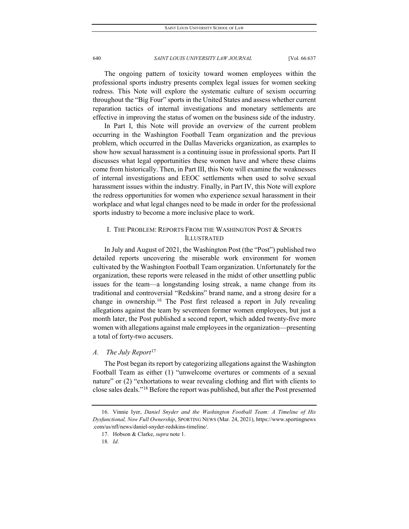The ongoing pattern of toxicity toward women employees within the professional sports industry presents complex legal issues for women seeking redress. This Note will explore the systematic culture of sexism occurring throughout the "Big Four" sports in the United States and assess whether current reparation tactics of internal investigations and monetary settlements are effective in improving the status of women on the business side of the industry.

In Part I, this Note will provide an overview of the current problem occurring in the Washington Football Team organization and the previous problem, which occurred in the Dallas Mavericks organization, as examples to show how sexual harassment is a continuing issue in professional sports. Part II discusses what legal opportunities these women have and where these claims come from historically. Then, in Part III, this Note will examine the weaknesses of internal investigations and EEOC settlements when used to solve sexual harassment issues within the industry. Finally, in Part IV, this Note will explore the redress opportunities for women who experience sexual harassment in their workplace and what legal changes need to be made in order for the professional sports industry to become a more inclusive place to work.

# I. THE PROBLEM: REPORTS FROM THE WASHINGTON POST & SPORTS ILLUSTRATED

In July and August of 2021, the Washington Post (the "Post") published two detailed reports uncovering the miserable work environment for women cultivated by the Washington Football Team organization. Unfortunately for the organization, these reports were released in the midst of other unsettling public issues for the team—a longstanding losing streak, a name change from its traditional and controversial "Redskins" brand name, and a strong desire for a change in ownership.[16](#page-4-0) The Post first released a report in July revealing allegations against the team by seventeen former women employees, but just a month later, the Post published a second report, which added twenty-five more women with allegations against male employees in the organization—presenting a total of forty-two accusers.

# *A. The July Report*[17](#page-4-1)

The Post began its report by categorizing allegations against the Washington Football Team as either (1) "unwelcome overtures or comments of a sexual nature" or (2) "exhortations to wear revealing clothing and flirt with clients to close sales deals."[18](#page-4-2) Before the report was published, but after the Post presented

<span id="page-4-2"></span><span id="page-4-1"></span><span id="page-4-0"></span><sup>16.</sup> Vinnie Iyer, *Daniel Snyder and the Washington Football Team: A Timeline of His Dysfunctional, Now Full Ownership*, SPORTING NEWS (Mar. 24, 2021), https://www.sportingnews .com/us/nfl/news/daniel-snyder-redskins-timeline/.

<sup>17.</sup> Hobson & Clarke, *supra* note 1.

<sup>18</sup>*. Id*.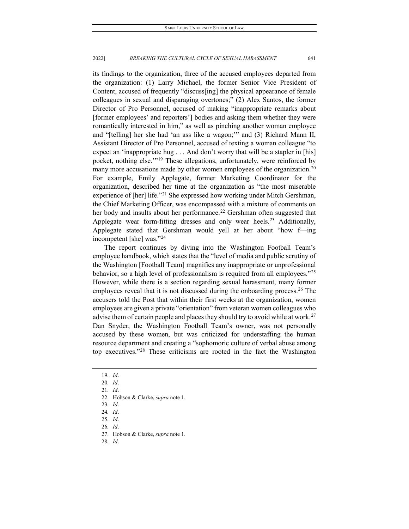its findings to the organization, three of the accused employees departed from the organization: (1) Larry Michael, the former Senior Vice President of Content, accused of frequently "discuss[ing] the physical appearance of female colleagues in sexual and disparaging overtones;" (2) Alex Santos, the former Director of Pro Personnel, accused of making "inappropriate remarks about [former employees' and reporters'] bodies and asking them whether they were romantically interested in him," as well as pinching another woman employee and "[telling] her she had 'an ass like a wagon;'" and (3) Richard Mann II, Assistant Director of Pro Personnel, accused of texting a woman colleague "to expect an 'inappropriate hug . . . And don't worry that will be a stapler in [his] pocket, nothing else."<sup>[19](#page-5-0)</sup> These allegations, unfortunately, were reinforced by many more accusations made by other women employees of the organization.<sup>[20](#page-5-1)</sup> For example, Emily Applegate, former Marketing Coordinator for the organization, described her time at the organization as "the most miserable experience of [her] life."<sup>[21](#page-5-2)</sup> She expressed how working under Mitch Gershman, the Chief Marketing Officer, was encompassed with a mixture of comments on her body and insults about her performance.<sup>[22](#page-5-3)</sup> Gershman often suggested that Applegate wear form-fitting dresses and only wear heels.<sup>[23](#page-5-4)</sup> Additionally, Applegate stated that Gershman would yell at her about "how f—ing incompetent [she] was."[24](#page-5-5)

The report continues by diving into the Washington Football Team's employee handbook, which states that the "level of media and public scrutiny of the Washington [Football Team] magnifies any inappropriate or unprofessional behavior, so a high level of professionalism is required from all employees."[25](#page-5-6) However, while there is a section regarding sexual harassment, many former employees reveal that it is not discussed during the onboarding process.<sup>[26](#page-5-7)</sup> The accusers told the Post that within their first weeks at the organization, women employees are given a private "orientation" from veteran women colleagues who advise them of certain people and places they should try to avoid while at work.<sup>[27](#page-5-8)</sup> Dan Snyder, the Washington Football Team's owner, was not personally accused by these women, but was criticized for understaffing the human resource department and creating a "sophomoric culture of verbal abuse among top executives."[28](#page-5-9) These criticisms are rooted in the fact the Washington

<sup>19</sup>*. Id*.

<span id="page-5-2"></span><span id="page-5-1"></span><span id="page-5-0"></span><sup>20</sup>*. Id*.

<sup>21</sup>*. Id*.

<span id="page-5-3"></span><sup>22.</sup> Hobson & Clarke, *supra* note 1.

<span id="page-5-4"></span><sup>23</sup>*. Id*.

<span id="page-5-5"></span><sup>24</sup>*. Id*.

<span id="page-5-6"></span><sup>25</sup>*. Id*.

<span id="page-5-7"></span><sup>26</sup>*. Id*.

<span id="page-5-9"></span><span id="page-5-8"></span><sup>27.</sup> Hobson & Clarke, *supra* note 1.

<sup>28</sup>*. Id*.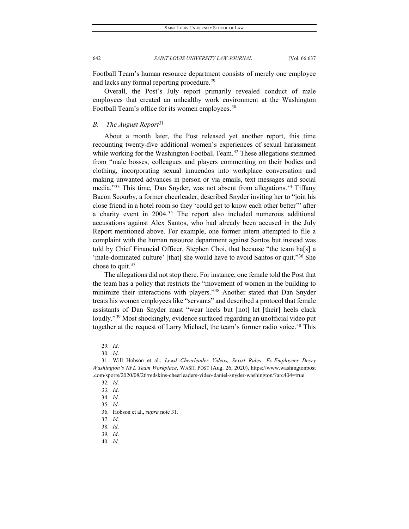Football Team's human resource department consists of merely one employee and lacks any formal reporting procedure.<sup>[29](#page-6-0)</sup>

Overall, the Post's July report primarily revealed conduct of male employees that created an unhealthy work environment at the Washington Football Team's office for its women employees.<sup>[30](#page-6-1)</sup>

# *B. The August Report*[31](#page-6-2)

About a month later, the Post released yet another report, this time recounting twenty-five additional women's experiences of sexual harassment while working for the Washington Football Team.<sup>[32](#page-6-3)</sup> These allegations stemmed from "male bosses, colleagues and players commenting on their bodies and clothing, incorporating sexual innuendos into workplace conversation and making unwanted advances in person or via emails, text messages and social media."<sup>[33](#page-6-4)</sup> This time, Dan Snyder, was not absent from allegations.<sup>[34](#page-6-5)</sup> Tiffany Bacon Scourby, a former cheerleader, described Snyder inviting her to "join his close friend in a hotel room so they 'could get to know each other better'" after a charity event in 2004.[35](#page-6-6) The report also included numerous additional accusations against Alex Santos, who had already been accused in the July Report mentioned above. For example, one former intern attempted to file a complaint with the human resource department against Santos but instead was told by Chief Financial Officer, Stephen Choi, that because "the team ha[s] a 'male-dominated culture' [that] she would have to avoid Santos or quit."[36](#page-6-7) She chose to quit.  $37$ 

The allegations did not stop there. For instance, one female told the Post that the team has a policy that restricts the "movement of women in the building to minimize their interactions with players."[38](#page-6-9) Another stated that Dan Snyder treats his women employees like "servants" and described a protocol that female assistants of Dan Snyder must "wear heels but [not] let [their] heels clack loudly."<sup>[39](#page-6-10)</sup> Most shockingly, evidence surfaced regarding an unofficial video put together at the request of Larry Michael, the team's former radio voice.<sup>[40](#page-6-11)</sup> This

<sup>29</sup>*. Id*.

<sup>30</sup>*. Id*.

<span id="page-6-5"></span><span id="page-6-4"></span><span id="page-6-3"></span><span id="page-6-2"></span><span id="page-6-1"></span><span id="page-6-0"></span><sup>31.</sup> Will Hobson et al., *Lewd Cheerleader Videos, Sexist Rules: Ex-Employees Decry Washington's NFL Team Workplace*, WASH. POST (Aug. 26, 2020), https://www.washingtonpost .com/sports/2020/08/26/redskins-cheerleaders-video-daniel-snyder-washington/?arc404=true.

<sup>32</sup>*. Id*.

<sup>33</sup>*. Id*.

<sup>34</sup>*. Id*.

<span id="page-6-7"></span><span id="page-6-6"></span><sup>35</sup>*. Id*.

<sup>36.</sup> Hobson et al., *supra* note 31.

<span id="page-6-8"></span><sup>37</sup>*. Id*.

<span id="page-6-9"></span><sup>38</sup>*. Id*.

<sup>39</sup>*. Id*.

<span id="page-6-11"></span><span id="page-6-10"></span><sup>40</sup>*. Id*.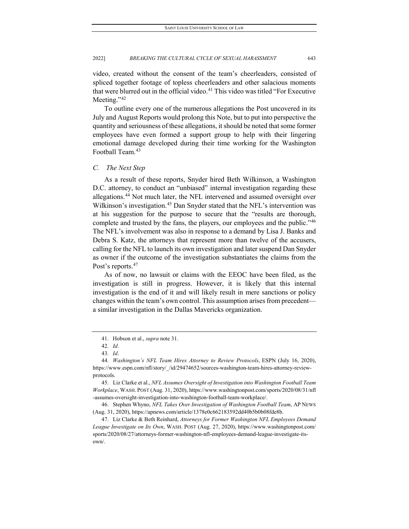video, created without the consent of the team's cheerleaders, consisted of spliced together footage of topless cheerleaders and other salacious moments that were blurred out in the official video.<sup>[41](#page-7-0)</sup> This video was titled "For Executive Meeting."<sup>[42](#page-7-1)</sup>

To outline every one of the numerous allegations the Post uncovered in its July and August Reports would prolong this Note, but to put into perspective the quantity and seriousness of these allegations, it should be noted that some former employees have even formed a support group to help with their lingering emotional damage developed during their time working for the Washington Football Team.<sup>[43](#page-7-2)</sup>

#### *C. The Next Step*

As a result of these reports, Snyder hired Beth Wilkinson, a Washington D.C. attorney, to conduct an "unbiased" internal investigation regarding these allegations.<sup>[44](#page-7-3)</sup> Not much later, the NFL intervened and assumed oversight over Wilkinson's investigation.<sup>[45](#page-7-4)</sup> Dan Snyder stated that the NFL's intervention was at his suggestion for the purpose to secure that the "results are thorough, complete and trusted by the fans, the players, our employees and the public."<sup>[46](#page-7-5)</sup> The NFL's involvement was also in response to a demand by Lisa J. Banks and Debra S. Katz, the attorneys that represent more than twelve of the accusers, calling for the NFL to launch its own investigation and later suspend Dan Snyder as owner if the outcome of the investigation substantiates the claims from the Post's reports.<sup>[47](#page-7-6)</sup>

As of now, no lawsuit or claims with the EEOC have been filed, as the investigation is still in progress. However, it is likely that this internal investigation is the end of it and will likely result in mere sanctions or policy changes within the team's own control. This assumption arises from precedent a similar investigation in the Dallas Mavericks organization.

<sup>41.</sup> Hobson et al., *supra* note 31.

<sup>42</sup>*. Id*.

<sup>43</sup>*. Id*.

<span id="page-7-3"></span><span id="page-7-2"></span><span id="page-7-1"></span><span id="page-7-0"></span><sup>44</sup>*. Washington's NFL Team Hires Attorney to Review Protocols*, ESPN (July 16, 2020), https://www.espn.com/nfl/story/\_/id/29474652/sources-washington-team-hires-attorney-reviewprotocols.

<span id="page-7-4"></span><sup>45.</sup> Liz Clarke et al., *NFL Assumes Oversight of Investigation into Washington Football Team Workplace*, WASH. POST (Aug. 31, 2020), https://www.washingtonpost.com/sports/2020/08/31/nfl -assumes-oversight-investigation-into-washington-football-team-workplace/.

<span id="page-7-5"></span><sup>46.</sup> Stephen Whyno, *NFL Takes Over Investigation of Washington Football Team*, AP NEWS (Aug. 31, 2020), https://apnews.com/article/1378e0c662183592dd40b5b0b08fde8b.

<span id="page-7-6"></span><sup>47.</sup> Liz Clarke & Beth Reinhard, *Attorneys for Former Washington NFL Employees Demand League Investigate on Its Own*, WASH. POST (Aug. 27, 2020), https://www.washingtonpost.com/ sports/2020/08/27/attorneys-former-washington-nfl-employees-demand-league-investigate-itsown/.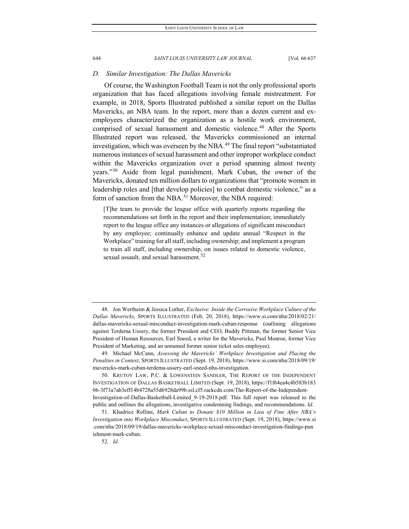#### *D. Similar Investigation: The Dallas Mavericks*

Of course, the Washington Football Team is not the only professional sports organization that has faced allegations involving female mistreatment. For example, in 2018, Sports Illustrated published a similar report on the Dallas Mavericks, an NBA team. In the report, more than a dozen current and exemployees characterized the organization as a hostile work environment, comprised of sexual harassment and domestic violence.<sup>[48](#page-8-0)</sup> After the Sports Illustrated report was released, the Mavericks commissioned an internal investigation, which was overseen by the NBA.<sup>[49](#page-8-1)</sup> The final report "substantiated numerous instances of sexual harassment and other improper workplace conduct within the Mavericks organization over a period spanning almost twenty years."[50](#page-8-2) Aside from legal punishment, Mark Cuban, the owner of the Mavericks, donated ten million dollars to organizations that "promote women in leadership roles and [that develop policies] to combat domestic violence," as a form of sanction from the NBA.<sup>[51](#page-8-3)</sup> Moreover, the NBA required:

[T]he team to provide the league office with quarterly reports regarding the recommendations set forth in the report and their implementation; immediately report to the league office any instances or allegations of significant misconduct by any employee; continually enhance and update annual "Respect in the Workplace" training for all staff, including ownership; and implement a program to train all staff, including ownership, on issues related to domestic violence, sexual assault, and sexual harassment.<sup>[52](#page-8-4)</sup>

52*. Id*.

<span id="page-8-0"></span><sup>48.</sup> Jon Wertheim & Jessica Luther, *Exclusive: Inside the Corrosive Workplace Culture of the Dallas Mavericks*, SPORTS ILLUSTRATED (Feb. 20, 2018), https://www.si.com/nba/2018/02/21/ dallas-mavericks-sexual-misconduct-investigation-mark-cuban-response (outlining allegations against Terdema Ussery, the former President and CEO, Buddy Pittman, the former Senior Vice President of Human Resources, Earl Sneed, a writer for the Mavericks, Paul Monroe, former Vice President of Marketing, and an unnamed former senior ticket sales employee).

<span id="page-8-1"></span><sup>49.</sup> Michael McCann, *Assessing the Mavericks' Workplace Investigation and Placing the Penalties in Context*, SPORTS ILLUSTRATED (Sept. 19, 2018), https://www.si.com/nba/2018/09/19/ mavericks-mark-cuban-terdema-ussery-earl-sneed-nba-investigation.

<span id="page-8-2"></span><sup>50.</sup> KRUTOY LAW, P.C. & LOWENSTEIN SANDLER, THE REPORT OF THE INDEPENDENT INVESTIGATION OF DALLAS BASKETBALL LIMITED (Sept. 19, 2018), https://f1f64ea4c4b583b183 06-3f73a7ab3eff14b4728a55d6928da99b.ssl.cf5.rackcdn.com/The-Report-of-the-Independent-Investigation-of-Dallas-Basketball-Limited\_9-19-2018.pdf. This full report was released to the public and outlines the allegations, investigative condemning findings, and recommendations. *Id*.

<span id="page-8-4"></span><span id="page-8-3"></span><sup>51.</sup> Khadrice Rollins, *Mark Cuban to Donate \$10 Million in Lieu of Fine After NBA's Investigation into Workplace Misconduct*, SPORTS ILLUSTRATED (Sept. 19, 2018), https://www.si .com/nba/2018/09/19/dallas-mavericks-workplace-sexual-misconduct-investigation-findings-pun ishment-mark-cuban.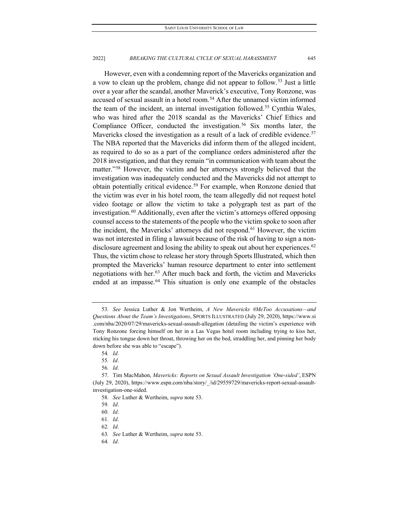However, even with a condemning report of the Mavericks organization and a vow to clean up the problem, change did not appear to follow.<sup>[53](#page-9-0)</sup> Just a little over a year after the scandal, another Maverick's executive, Tony Ronzone, was accused of sexual assault in a hotel room.<sup>[54](#page-9-1)</sup> After the unnamed victim informed the team of the incident, an internal investigation followed.<sup>55</sup> Cynthia Wales, who was hired after the 2018 scandal as the Mavericks' Chief Ethics and Compliance Officer, conducted the investigation.<sup>[56](#page-9-3)</sup> Six months later, the Mavericks closed the investigation as a result of a lack of credible evidence.<sup>[57](#page-9-4)</sup> The NBA reported that the Mavericks did inform them of the alleged incident, as required to do so as a part of the compliance orders administered after the 2018 investigation, and that they remain "in communication with team about the matter."[58](#page-9-5) However, the victim and her attorneys strongly believed that the investigation was inadequately conducted and the Mavericks did not attempt to obtain potentially critical evidence.<sup>[59](#page-9-6)</sup> For example, when Ronzone denied that the victim was ever in his hotel room, the team allegedly did not request hotel video footage or allow the victim to take a polygraph test as part of the investigation.<sup>[60](#page-9-7)</sup> Additionally, even after the victim's attorneys offered opposing counsel access to the statements of the people who the victim spoke to soon after the incident, the Mavericks' attorneys did not respond.[61](#page-9-8) However, the victim was not interested in filing a lawsuit because of the risk of having to sign a non-disclosure agreement and losing the ability to speak out about her experiences.<sup>[62](#page-9-9)</sup> Thus, the victim chose to release her story through Sports Illustrated, which then prompted the Mavericks' human resource department to enter into settlement negotiations with her.[63](#page-9-10) After much back and forth, the victim and Mavericks ended at an impasse.<sup>[64](#page-9-11)</sup> This situation is only one example of the obstacles

56*. Id*.

64*. Id*.

<span id="page-9-0"></span><sup>53</sup>*. See* Jessica Luther & Jon Wertheim, *A New Mavericks #MeToo Accusations—and Questions About the Team's Investigations*, SPORTS ILLUSTRATED (July 29, 2020), https://www.si .com/nba/2020/07/29/mavericks-sexual-assault-allegation (detailing the victim's experience with Tony Ronzone forcing himself on her in a Las Vegas hotel room including trying to kiss her, sticking his tongue down her throat, throwing her on the bed, straddling her, and pinning her body down before she was able to "escape").

<sup>54</sup>*. Id*.

<sup>55</sup>*. Id*.

<span id="page-9-7"></span><span id="page-9-6"></span><span id="page-9-5"></span><span id="page-9-4"></span><span id="page-9-3"></span><span id="page-9-2"></span><span id="page-9-1"></span><sup>57.</sup> Tim MacMahon, *Mavericks: Reports on Sexual Assault Investigation 'One-sided'*, ESPN (July 29, 2020), https://www.espn.com/nba/story/\_/id/29559729/mavericks-report-sexual-assaultinvestigation-one-sided.

<sup>58</sup>*. See* Luther & Wertheim, *supra* note 53.

<sup>59</sup>*. Id*.

<sup>60</sup>*. Id*.

<span id="page-9-8"></span><sup>61</sup>*. Id*.

<span id="page-9-9"></span><sup>62</sup>*. Id.*

<span id="page-9-11"></span><span id="page-9-10"></span><sup>63</sup>*. See* Luther & Wertheim, *supra* note 53.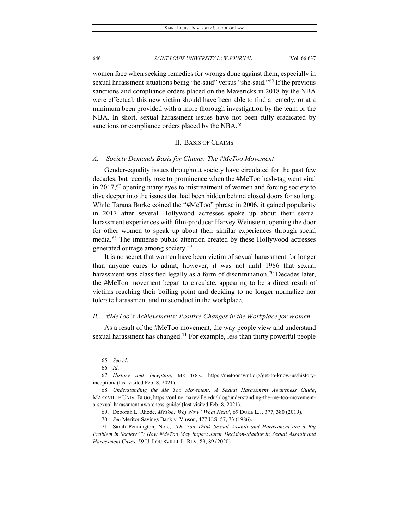women face when seeking remedies for wrongs done against them, especially in sexual harassment situations being "he-said" versus "she-said."[65](#page-10-0) If the previous sanctions and compliance orders placed on the Mavericks in 2018 by the NBA were effectual, this new victim should have been able to find a remedy, or at a minimum been provided with a more thorough investigation by the team or the NBA. In short, sexual harassment issues have not been fully eradicated by sanctions or compliance orders placed by the NBA.<sup>[66](#page-10-1)</sup>

#### II. BASIS OF CLAIMS

#### *A. Society Demands Basis for Claims: The #MeToo Movement*

Gender-equality issues throughout society have circulated for the past few decades, but recently rose to prominence when the #MeToo hash-tag went viral in 2017,<sup>[67](#page-10-2)</sup> opening many eyes to mistreatment of women and forcing society to dive deeper into the issues that had been hidden behind closed doors for so long. While Tarana Burke coined the "#MeToo" phrase in 2006, it gained popularity in 2017 after several Hollywood actresses spoke up about their sexual harassment experiences with film-producer Harvey Weinstein, opening the door for other women to speak up about their similar experiences through social media.[68](#page-10-3) The immense public attention created by these Hollywood actresses generated outrage among society.[69](#page-10-4)

It is no secret that women have been victim of sexual harassment for longer than anyone cares to admit; however, it was not until 1986 that sexual harassment was classified legally as a form of discrimination.<sup>[70](#page-10-5)</sup> Decades later, the #MeToo movement began to circulate, appearing to be a direct result of victims reaching their boiling point and deciding to no longer normalize nor tolerate harassment and misconduct in the workplace.

#### *B. #MeToo's Achievements: Positive Changes in the Workplace for Women*

As a result of the #MeToo movement, the way people view and understand sexual harassment has changed.<sup>[71](#page-10-6)</sup> For example, less than thirty powerful people

<sup>65</sup>*. See id*.

<sup>66</sup>*. Id*.

<span id="page-10-2"></span><span id="page-10-1"></span><span id="page-10-0"></span><sup>67</sup>*. History and Inception*, ME TOO., https://metoomvmt.org/get-to-know-us/historyinception/ (last visited Feb. 8, 2021).

<span id="page-10-3"></span><sup>68</sup>*. Understanding the Me Too Movement: A Sexual Harassment Awareness Guide*, MARYVILLE UNIV. BLOG, https://online.maryville.edu/blog/understanding-the-me-too-movementa-sexual-harassment-awareness-guide/ (last visited Feb. 8, 2021).

<sup>69.</sup> Deborah L. Rhode, *MeToo: Why Now? What Next?*, 69 DUKE L.J. 377, 380 (2019).

<sup>70</sup>*. See* Meritor Savings Bank v. Vinson, 477 U.S. 57, 73 (1986).

<span id="page-10-6"></span><span id="page-10-5"></span><span id="page-10-4"></span><sup>71.</sup> Sarah Pennington, Note, *"Do You Think Sexual Assault and Harassment are a Big Problem in Society?": How #MeToo May Impact Juror Decision-Making in Sexual Assault and Harassment Cases*, 59 U. LOUISVILLE L. REV. 89, 89 (2020).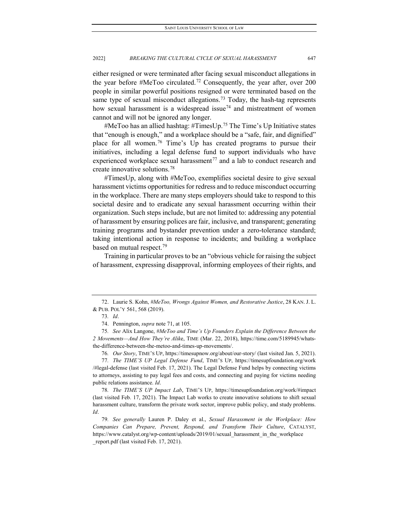either resigned or were terminated after facing sexual misconduct allegations in the year before #MeToo circulated.<sup>[72](#page-11-0)</sup> Consequently, the year after, over 200 people in similar powerful positions resigned or were terminated based on the same type of sexual misconduct allegations.<sup>[73](#page-11-1)</sup> Today, the hash-tag represents how sexual harassment is a widespread issue<sup>[74](#page-11-2)</sup> and mistreatment of women cannot and will not be ignored any longer.

#MeToo has an allied hashtag: #TimesUp.[75](#page-11-3) The Time's Up Initiative states that "enough is enough," and a workplace should be a "safe, fair, and dignified" place for all women.<sup>[76](#page-11-4)</sup> Time's Up has created programs to pursue their initiatives, including a legal defense fund to support individuals who have experienced workplace sexual harassment<sup>[77](#page-11-5)</sup> and a lab to conduct research and create innovative solutions.[78](#page-11-6)

#TimesUp, along with #MeToo, exemplifies societal desire to give sexual harassment victims opportunities for redress and to reduce misconduct occurring in the workplace. There are many steps employers should take to respond to this societal desire and to eradicate any sexual harassment occurring within their organization. Such steps include, but are not limited to: addressing any potential of harassment by ensuring polices are fair, inclusive, and transparent; generating training programs and bystander prevention under a zero-tolerance standard; taking intentional action in response to incidents; and building a workplace based on mutual respect.<sup>[79](#page-11-7)</sup>

Training in particular proves to be an "obvious vehicle for raising the subject of harassment, expressing disapproval, informing employees of their rights, and

76*. Our Story*, TIME'S UP, https://timesupnow.org/about/our-story/ (last visited Jan. 5, 2021).

<span id="page-11-5"></span><span id="page-11-4"></span>77*. The TIME'S UP Legal Defense Fund*, TIME'S UP, https://timesupfoundation.org/work /#legal-defense (last visited Feb. 17, 2021). The Legal Defense Fund helps by connecting victims to attorneys, assisting to pay legal fees and costs, and connecting and paying for victims needing public relations assistance. *Id*.

<span id="page-11-1"></span><span id="page-11-0"></span><sup>72.</sup> Laurie S. Kohn, *#MeToo, Wrongs Against Women, and Restorative Justice*, 28 KAN. J. L. & PUB. POL'Y 561, 568 (2019).

<sup>73</sup>*. Id*.

<sup>74.</sup> Pennington, *supra* note 71, at 105.

<span id="page-11-3"></span><span id="page-11-2"></span><sup>75</sup>*. See* Alix Langone, *#MeToo and Time's Up Founders Explain the Difference Between the 2 Movements—And How They're Alik*e, TIME (Mar. 22, 2018), https://time.com/5189945/whatsthe-difference-between-the-metoo-and-times-up-movements/.

<span id="page-11-6"></span><sup>78</sup>*. The TIME'S UP Impact Lab*, TIME'S UP, https://timesupfoundation.org/work/#impact (last visited Feb. 17, 2021). The Impact Lab works to create innovative solutions to shift sexual harassment culture, transform the private work sector, improve public policy, and study problems. *Id*.

<span id="page-11-7"></span><sup>79</sup>*. See generally* Lauren P. Daley et al., *Sexual Harassment in the Workplace: How Companies Can Prepare, Prevent, Respond, and Transform Their Culture*, CATALYST, https://www.catalyst.org/wp-content/uploads/2019/01/sexual\_harassment\_in\_the\_workplace \_report.pdf (last visited Feb. 17, 2021).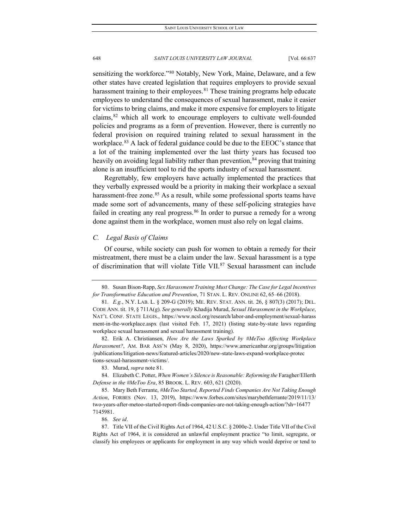sensitizing the workforce."<sup>[80](#page-12-0)</sup> Notably, New York, Maine, Delaware, and a few other states have created legislation that requires employers to provide sexual harassment training to their employees.<sup>[81](#page-12-1)</sup> These training programs help educate employees to understand the consequences of sexual harassment, make it easier for victims to bring claims, and make it more expensive for employers to litigate claims, <sup>[82](#page-12-2)</sup> which all work to encourage employers to cultivate well-founded policies and programs as a form of prevention. However, there is currently no federal provision on required training related to sexual harassment in the workplace.<sup>[83](#page-12-3)</sup> A lack of federal guidance could be due to the EEOC's stance that a lot of the training implemented over the last thirty years has focused too heavily on avoiding legal liability rather than prevention,<sup>[84](#page-12-4)</sup> proving that training alone is an insufficient tool to rid the sports industry of sexual harassment.

Regrettably, few employers have actually implemented the practices that they verbally expressed would be a priority in making their workplace a sexual harassment-free zone.<sup>[85](#page-12-5)</sup> As a result, while some professional sports teams have made some sort of advancements, many of these self-policing strategies have failed in creating any real progress.  $86$  In order to pursue a remedy for a wrong done against them in the workplace, women must also rely on legal claims.

#### *C. Legal Basis of Claims*

Of course, while society can push for women to obtain a remedy for their mistreatment, there must be a claim under the law. Sexual harassment is a type of discrimination that will violate Title VII.<sup>[87](#page-12-7)</sup> Sexual harassment can include

<span id="page-12-2"></span>82. Erik A. Christiansen, *How Are the Laws Sparked by #MeToo Affecting Workplace Harassment?*, AM. BAR ASS'N (May 8, 2020), https://www.americanbar.org/groups/litigation /publications/litigation-news/featured-articles/2020/new-state-laws-expand-workplace-protec tions-sexual-harassment-victims/.

<span id="page-12-4"></span><span id="page-12-3"></span>84. Elizabeth C. Potter, When Women's Silence is Reasonable: Reforming the Faragher/Ellerth *Defense in the #MeToo Era*, 85 BROOK. L. REV. 603, 621 (2020).

<span id="page-12-5"></span>85. Mary Beth Ferrante, *#MeToo Started, Reported Finds Companies Are Not Taking Enough Action*, FORBES (Nov. 13, 2019), https://www.forbes.com/sites/marybethferrante/2019/11/13/ two-years-after-metoo-started-report-finds-companies-are-not-taking-enough-action/?sh=16477 7145981.

<span id="page-12-1"></span><span id="page-12-0"></span><sup>80.</sup> Susan Bison-Rapp, *Sex Harassment Training Must Change: The Case for Legal Incentives for Transformative Education and Prevention*, 71 STAN. L. REV. ONLINE 62, 65–66 (2018).

<sup>81</sup>*. E.g.*, N.Y. LAB. L. § 209-G (2019); ME. REV. STAT. ANN. tit. 26, § 807(3) (2017); DEL. CODE ANN. tit. 19, § 711A(g). *See generally* Khadija Murad, *Sexual Harassment in the Workplace*, NAT'L CONF. STATE LEGIS., https://www.ncsl.org/research/labor-and-employment/sexual-harass ment-in-the-workplace.aspx (last visited Feb. 17, 2021) (listing state-by-state laws regarding workplace sexual harassment and sexual harassment training).

<sup>83.</sup> Murad, *supra* note 81.

<sup>86</sup>*. See id*.

<span id="page-12-7"></span><span id="page-12-6"></span><sup>87.</sup> Title VII of the Civil Rights Act of 1964, 42 U.S.C. § 2000e-2. Under Title VII of the Civil Rights Act of 1964, it is considered an unlawful employment practice "to limit, segregate, or classify his employees or applicants for employment in any way which would deprive or tend to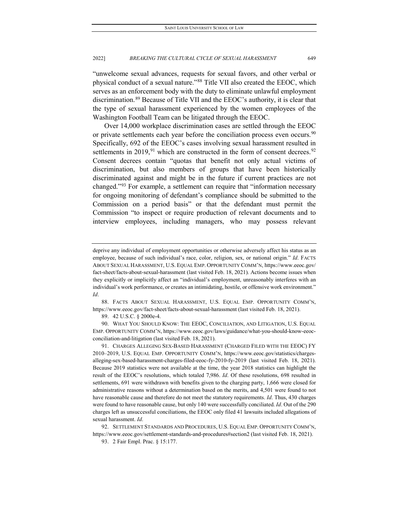"unwelcome sexual advances, requests for sexual favors, and other verbal or physical conduct of a sexual nature."[88](#page-13-0) Title VII also created the EEOC, which serves as an enforcement body with the duty to eliminate unlawful employment discrimination.[89](#page-13-1) Because of Title VII and the EEOC's authority, it is clear that the type of sexual harassment experienced by the women employees of the Washington Football Team can be litigated through the EEOC.

Over 14,000 workplace discrimination cases are settled through the EEOC or private settlements each year before the conciliation process even occurs.<sup>[90](#page-13-2)</sup> Specifically, 692 of the EEOC's cases involving sexual harassment resulted in settlements in 2019,<sup>[91](#page-13-3)</sup> which are constructed in the form of consent decrees.<sup>[92](#page-13-4)</sup> Consent decrees contain "quotas that benefit not only actual victims of discrimination, but also members of groups that have been historically discriminated against and might be in the future if current practices are not changed."[93](#page-13-5) For example, a settlement can require that "information necessary for ongoing monitoring of defendant's compliance should be submitted to the Commission on a period basis" or that the defendant must permit the Commission "to inspect or require production of relevant documents and to interview employees, including managers, who may possess relevant

<span id="page-13-0"></span>88. FACTS ABOUT SEXUAL HARASSMENT, U.S. EQUAL EMP. OPPORTUNITY COMM'N, https://www.eeoc.gov/fact-sheet/facts-about-sexual-harassment (last visited Feb. 18, 2021).

89. 42 U.S.C. § 2000e-4.

<span id="page-13-2"></span><span id="page-13-1"></span>90. WHAT YOU SHOULD KNOW: THE EEOC, CONCILIATION, AND LITIGATION, U.S. EQUAL EMP. OPPORTUNITY COMM'N, https://www.eeoc.gov/laws/guidance/what-you-should-know-eeocconciliation-and-litigation (last visited Feb. 18, 2021).

<span id="page-13-5"></span><span id="page-13-4"></span>92. SETTLEMENT STANDARDS AND PROCEDURES, U.S. EQUAL EMP. OPPORTUNITY COMM'N, https://www.eeoc.gov/settlement-standards-and-procedures#section2 (last visited Feb. 18, 2021).

deprive any individual of employment opportunities or otherwise adversely affect his status as an employee, because of such individual's race, color, religion, sex, or national origin." *Id.* FACTS ABOUT SEXUAL HARASSMENT, U.S. EQUAL EMP. OPPORTUNITY COMM'N, https://www.eeoc.gov/ fact-sheet/facts-about-sexual-harassment (last visited Feb. 18, 2021). Actions become issues when they explicitly or implicitly affect an "individual's employment, unreasonably interferes with an individual's work performance, or creates an intimidating, hostile, or offensive work environment." *Id*.

<span id="page-13-3"></span><sup>91.</sup> CHARGES ALLEGING SEX-BASED HARASSMENT (CHARGED FILED WITH THE EEOC) FY 2010–2019, U.S. EQUAL EMP. OPPORTUNITY COMM'N, https://www.eeoc.gov/statistics/chargesalleging-sex-based-harassment-charges-filed-eeoc-fy-2010-fy-2019 (last visited Feb. 18, 2021). Because 2019 statistics were not available at the time, the year 2018 statistics can highlight the result of the EEOC's resolutions, which totaled 7,986. *Id*. Of these resolutions, 698 resulted in settlements, 691 were withdrawn with benefits given to the charging party, 1,666 were closed for administrative reasons without a determination based on the merits, and 4,501 were found to not have reasonable cause and therefore do not meet the statutory requirements. *Id*. Thus, 430 charges were found to have reasonable cause, but only 140 were successfully conciliated. *Id*. Out of the 290 charges left as unsuccessful conciliations, the EEOC only filed 41 lawsuits included allegations of sexual harassment. *Id*.

<sup>93.</sup> 2 Fair Empl. Prac. § 15:177.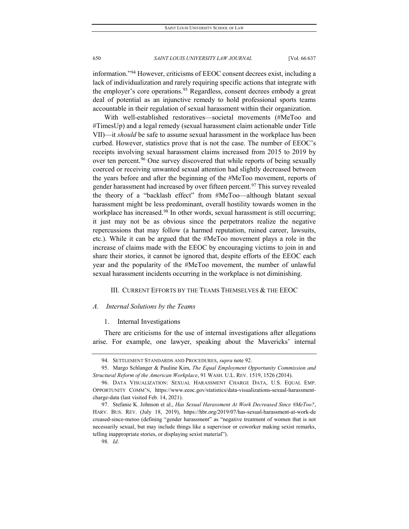information."[94](#page-14-0) However, criticisms of EEOC consent decrees exist, including a lack of individualization and rarely requiring specific actions that integrate with the employer's core operations.<sup>[95](#page-14-1)</sup> Regardless, consent decrees embody a great deal of potential as an injunctive remedy to hold professional sports teams accountable in their regulation of sexual harassment within their organization.

With well-established restoratives—societal movements (#MeToo and #TimesUp) and a legal remedy (sexual harassment claim actionable under Title VII)—it *should* be safe to assume sexual harassment in the workplace has been curbed. However, statistics prove that is not the case. The number of EEOC's receipts involving sexual harassment claims increased from 2015 to 2019 by over ten percent.<sup>[96](#page-14-2)</sup> One survey discovered that while reports of being sexually coerced or receiving unwanted sexual attention had slightly decreased between the years before and after the beginning of the #MeToo movement, reports of gender harassment had increased by over fifteen percent.<sup>[97](#page-14-3)</sup> This survey revealed the theory of a "backlash effect" from #MeToo—although blatant sexual harassment might be less predominant, overall hostility towards women in the workplace has increased.<sup>[98](#page-14-4)</sup> In other words, sexual harassment is still occurring; it just may not be as obvious since the perpetrators realize the negative repercussions that may follow (a harmed reputation, ruined career, lawsuits, etc.). While it can be argued that the #MeToo movement plays a role in the increase of claims made with the EEOC by encouraging victims to join in and share their stories, it cannot be ignored that, despite efforts of the EEOC each year and the popularity of the #MeToo movement, the number of unlawful sexual harassment incidents occurring in the workplace is not diminishing.

# III. CURRENT EFFORTS BY THE TEAMS THEMSELVES & THE EEOC

#### *A. Internal Solutions by the Teams*

#### 1. Internal Investigations

There are criticisms for the use of internal investigations after allegations arise. For example, one lawyer, speaking about the Mavericks' internal

98*. Id*.

<sup>94.</sup> SETTLEMENT STANDARDS AND PROCEDURES, *supra* note 92.

<span id="page-14-1"></span><span id="page-14-0"></span><sup>95.</sup> Margo Schlanger & Pauline Kim, *The Equal Employment Opportunity Commission and Structural Reform of the American Workplace*, 91 WASH. U.L. REV. 1519, 1526 (2014).

<span id="page-14-2"></span><sup>96.</sup> DATA VISUALIZATION: SEXUAL HARASSMENT CHARGE DATA, U.S. EQUAL EMP. OPPORTUNITY COMM'N, https://www.eeoc.gov/statistics/data-visualizations-sexual-harassmentcharge-data (last visited Feb. 14, 2021).

<span id="page-14-4"></span><span id="page-14-3"></span><sup>97.</sup> Stefanie K. Johnson et al., *Has Sexual Harassment At Work Decreased Since #MeToo?*, HARV. BUS. REV. (July 18, 2019), https://hbr.org/2019/07/has-sexual-harassment-at-work-de creased-since-metoo (defining "gender harassment" as "negative treatment of women that is not necessarily sexual, but may include things like a supervisor or coworker making sexist remarks, telling inappropriate stories, or displaying sexist material").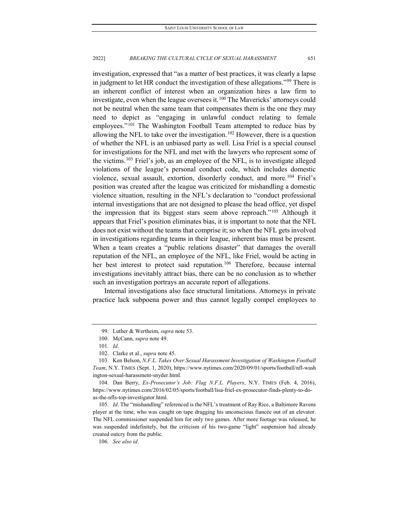investigation, expressed that "as a matter of best practices, it was clearly a lapse in judgment to let HR conduct the investigation of these allegations.["99](#page-15-0) There is an inherent conflict of interest when an organization hires a law firm to investigate, even when the league oversees it. $100$  The Mavericks' attorneys could not be neutral when the same team that compensates them is the one they may need to depict as "engaging in unlawful conduct relating to female employees."<sup>[101](#page-15-2)</sup> The Washington Football Team attempted to reduce bias by allowing the NFL to take over the investigation.<sup>[102](#page-15-3)</sup> However, there is a question of whether the NFL is an unbiased party as well. Lisa Friel is a special counsel for investigations for the NFL and met with the lawyers who represent some of the victims.<sup>[103](#page-15-4)</sup> Friel's job, as an employee of the NFL, is to investigate alleged violations of the league's personal conduct code, which includes domestic violence, sexual assault, extortion, disorderly conduct, and more.<sup>[104](#page-15-5)</sup> Friel's position was created after the league was criticized for mishandling a domestic violence situation, resulting in the NFL's declaration to "conduct professional internal investigations that are not designed to please the head office, yet dispel the impression that its biggest stars seem above reproach.["105](#page-15-6) Although it appears that Friel's position eliminates bias, it is important to note that the NFL does not exist without the teams that comprise it; so when the NFL gets involved in investigations regarding teams in their league, inherent bias must be present. When a team creates a "public relations disaster" that damages the overall reputation of the NFL, an employee of the NFL, like Friel, would be acting in her best interest to protect said reputation.<sup>[106](#page-15-7)</sup> Therefore, because internal investigations inevitably attract bias, there can be no conclusion as to whether such an investigation portrays an accurate report of allegations.

Internal investigations also face structural limitations. Attorneys in private practice lack subpoena power and thus cannot legally compel employees to

<sup>99.</sup> Luther & Wertheim, *supra* note 53.

<sup>100.</sup> McCann, *supra* note 49.

<sup>101</sup>*. Id*.

<sup>102.</sup> Clarke et al., *supra* note 45.

<span id="page-15-4"></span><span id="page-15-3"></span><span id="page-15-2"></span><span id="page-15-1"></span><span id="page-15-0"></span><sup>103.</sup> Ken Belson, *N.F.L. Takes Over Sexual Harassment Investigation of Washington Football Team*, N.Y. TIMES (Sept. 1, 2020), https://www.nytimes.com/2020/09/01/sports/football/nfl-wash ington-sexual-harassment-snyder.html.

<span id="page-15-5"></span><sup>104.</sup> Dan Berry, *Ex-Prosecutor's Job: Flag N.F.L. Players*, N.Y. TIMES (Feb. 4, 2016), https://www.nytimes.com/2016/02/05/sports/football/lisa-friel-ex-prosecutor-finds-plenty-to-doas-the-nfls-top-investigator.html.

<span id="page-15-6"></span><sup>105</sup>*. Id*. The "mishandling" referenced is the NFL's treatment of Ray Rice, a Baltimore Ravens player at the time, who was caught on tape dragging his unconscious fiancée out of an elevator. The NFL commissioner suspended him for only two games. After more footage was released, he was suspended indefinitely, but the criticism of his two-game "light" suspension had already created outcry from the public.

<span id="page-15-7"></span><sup>106</sup>*. See also id*.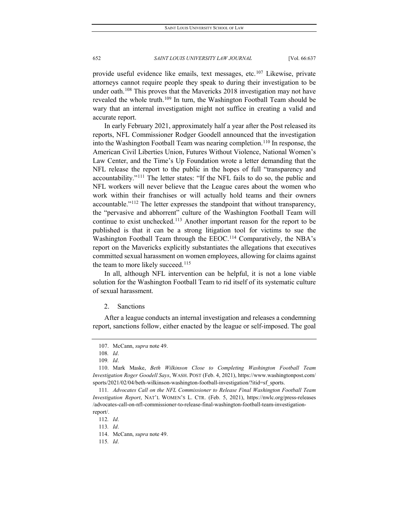provide useful evidence like emails, text messages, etc.[107](#page-16-0) Likewise, private attorneys cannot require people they speak to during their investigation to be under oath.<sup>[108](#page-16-1)</sup> This proves that the Mavericks 2018 investigation may not have revealed the whole truth.<sup>[109](#page-16-2)</sup> In turn, the Washington Football Team should be wary that an internal investigation might not suffice in creating a valid and accurate report.

In early February 2021, approximately half a year after the Post released its reports, NFL Commissioner Rodger Goodell announced that the investigation into the Washington Football Team was nearing completion.<sup>[110](#page-16-3)</sup> In response, the American Civil Liberties Union, Futures Without Violence, National Women's Law Center, and the Time's Up Foundation wrote a letter demanding that the NFL release the report to the public in the hopes of full "transparency and accountability."[111](#page-16-4) The letter states: "If the NFL fails to do so, the public and NFL workers will never believe that the League cares about the women who work within their franchises or will actually hold teams and their owners accountable."[112](#page-16-5) The letter expresses the standpoint that without transparency, the "pervasive and abhorrent" culture of the Washington Football Team will continue to exist unchecked.<sup>[113](#page-16-6)</sup> Another important reason for the report to be published is that it can be a strong litigation tool for victims to sue the Washington Football Team through the EEOC.<sup>[114](#page-16-7)</sup> Comparatively, the NBA's report on the Mavericks explicitly substantiates the allegations that executives committed sexual harassment on women employees, allowing for claims against the team to more likely succeed.<sup>[115](#page-16-8)</sup>

In all, although NFL intervention can be helpful, it is not a lone viable solution for the Washington Football Team to rid itself of its systematic culture of sexual harassment.

#### 2. Sanctions

After a league conducts an internal investigation and releases a condemning report, sanctions follow, either enacted by the league or self-imposed. The goal

<sup>107.</sup> McCann, *supra* note 49.

<sup>108</sup>*. Id*.

<sup>109</sup>*. Id*.

<span id="page-16-3"></span><span id="page-16-2"></span><span id="page-16-1"></span><span id="page-16-0"></span><sup>110.</sup> Mark Maske, *Beth Wilkinson Close to Completing Washington Football Team Investigation Roger Goodell Says*, WASH. POST (Feb. 4, 2021), https://www.washingtonpost.com/ sports/2021/02/04/beth-wilkinson-washington-football-investigation/?itid=sf\_sports.

<span id="page-16-5"></span><span id="page-16-4"></span><sup>111</sup>*. Advocates Call on the NFL Commissioner to Release Final Washington Football Team Investigation Report*, NAT'L WOMEN'S L. CTR. (Feb. 5, 2021), https://nwlc.org/press-releases /advocates-call-on-nfl-commissioner-to-release-final-washington-football-team-investigationreport/.

<sup>112</sup>*. Id*.

<span id="page-16-6"></span><sup>113</sup>*. Id*.

<span id="page-16-7"></span><sup>114.</sup> McCann, *supra* note 49.

<span id="page-16-8"></span><sup>115</sup>*. Id*.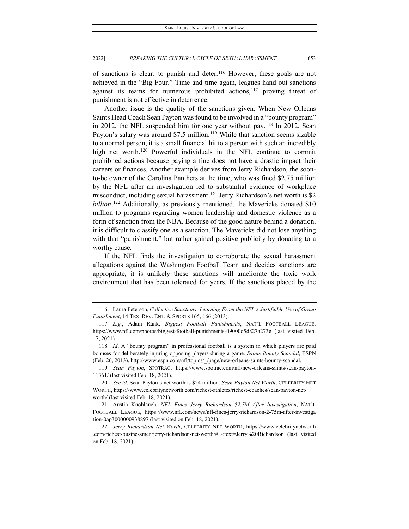of sanctions is clear: to punish and deter.<sup>[116](#page-17-0)</sup> However, these goals are not achieved in the "Big Four." Time and time again, leagues hand out sanctions against its teams for numerous prohibited actions, $117$  proving threat of punishment is not effective in deterrence.

Another issue is the quality of the sanctions given. When New Orleans Saints Head Coach Sean Payton was found to be involved in a "bounty program" in 2012, the NFL suspended him for one year without pay.[118](#page-17-2) In 2012, Sean Payton's salary was around \$7.5 million.<sup>[119](#page-17-3)</sup> While that sanction seems sizable to a normal person, it is a small financial hit to a person with such an incredibly high net worth.<sup>120</sup> Powerful individuals in the NFL continue to commit prohibited actions because paying a fine does not have a drastic impact their careers or finances. Another example derives from Jerry Richardson, the soonto-be owner of the Carolina Panthers at the time, who was fined \$2.75 million by the NFL after an investigation led to substantial evidence of workplace misconduct, including sexual harassment.<sup>[121](#page-17-5)</sup> Jerry Richardson's net worth is \$2 *billion*. [122](#page-17-6) Additionally, as previously mentioned, the Mavericks donated \$10 million to programs regarding women leadership and domestic violence as a form of sanction from the NBA. Because of the good nature behind a donation, it is difficult to classify one as a sanction. The Mavericks did not lose anything with that "punishment," but rather gained positive publicity by donating to a worthy cause.

If the NFL finds the investigation to corroborate the sexual harassment allegations against the Washington Football Team and decides sanctions are appropriate, it is unlikely these sanctions will ameliorate the toxic work environment that has been tolerated for years. If the sanctions placed by the

<span id="page-17-0"></span><sup>116.</sup> Laura Peterson, *Collective Sanctions: Learning From the NFL's Justifiable Use of Group Punishment*, 14 TEX. REV. ENT. & SPORTS 165, 166 (2013).

<span id="page-17-1"></span><sup>117</sup>*. E.g.*, Adam Rank, *Biggest Football Punishments*, NAT'L FOOTBALL LEAGUE, https://www.nfl.com/photos/biggest-football-punishments-09000d5d827a273e (last visited Feb. 17, 2021).

<span id="page-17-2"></span><sup>118</sup>*. Id*. A "bounty program" in professional football is a system in which players are paid bonuses for deliberately injuring opposing players during a game. *Saints Bounty Scandal*, ESPN (Feb. 26, 2013), http://www.espn.com/nfl/topics/\_/page/new-orleans-saints-bounty-scandal.

<span id="page-17-3"></span><sup>119</sup>*. Sean Payton*, SPOTRAC, https://www.spotrac.com/nfl/new-orleans-saints/sean-payton-11361/ (last visited Feb. 18, 2021).

<span id="page-17-4"></span><sup>120</sup>*. See id*. Sean Payton's net worth is \$24 million. *Sean Payton Net Worth*, CELEBRITY NET WORTH, https://www.celebritynetworth.com/richest-athletes/richest-coaches/sean-payton-networth/ (last visited Feb. 18, 2021).

<span id="page-17-5"></span><sup>121.</sup> Austin Knoblauch, *NFL Fines Jerry Richardson \$2.7M After Investigation*, NAT'L FOOTBALL LEAGUE, https://www.nfl.com/news/nfl-fines-jerry-richardson-2-75m-after-investiga tion-0ap3000000938897 (last visited on Feb. 18, 2021).

<span id="page-17-6"></span><sup>122</sup>*. Jerry Richardson Net Worth*, CELEBRITY NET WORTH, https://www.celebritynetworth .com/richest-businessmen/jerry-richardson-net-worth/#:~:text=Jerry%20Richardson (last visited on Feb. 18, 2021).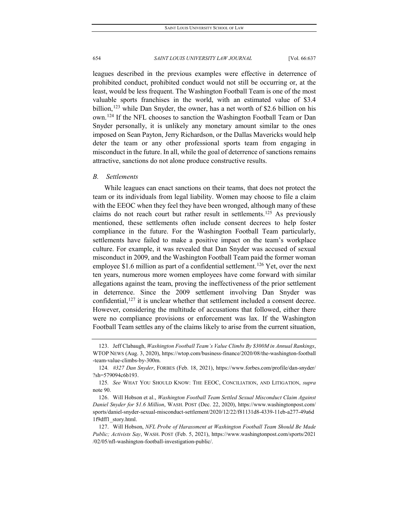leagues described in the previous examples were effective in deterrence of prohibited conduct, prohibited conduct would not still be occurring or, at the least, would be less frequent. The Washington Football Team is one of the most valuable sports franchises in the world, with an estimated value of \$3.4 billion,<sup>[123](#page-18-0)</sup> while Dan Snyder, the owner, has a net worth of \$2.6 billion on his own.[124](#page-18-1) If the NFL chooses to sanction the Washington Football Team or Dan Snyder personally, it is unlikely any monetary amount similar to the ones imposed on Sean Payton, Jerry Richardson, or the Dallas Mavericks would help deter the team or any other professional sports team from engaging in misconduct in the future. In all, while the goal of deterrence of sanctions remains attractive, sanctions do not alone produce constructive results.

# *B. Settlements*

While leagues can enact sanctions on their teams, that does not protect the team or its individuals from legal liability. Women may choose to file a claim with the EEOC when they feel they have been wronged, although many of these claims do not reach court but rather result in settlements.[125](#page-18-2) As previously mentioned, these settlements often include consent decrees to help foster compliance in the future. For the Washington Football Team particularly, settlements have failed to make a positive impact on the team's workplace culture. For example, it was revealed that Dan Snyder was accused of sexual misconduct in 2009, and the Washington Football Team paid the former woman employee \$1.6 million as part of a confidential settlement.<sup>[126](#page-18-3)</sup> Yet, over the next ten years, numerous more women employees have come forward with similar allegations against the team, proving the ineffectiveness of the prior settlement in deterrence. Since the 2009 settlement involving Dan Snyder was confidential, $127$  it is unclear whether that settlement included a consent decree. However, considering the multitude of accusations that followed, either there were no compliance provisions or enforcement was lax. If the Washington Football Team settles any of the claims likely to arise from the current situation,

<span id="page-18-0"></span><sup>123.</sup> Jeff Clabaugh, *Washington Football Team's Value Climbs By \$300M in Annual Rankings*, WTOP NEWS (Aug. 3, 2020), https://wtop.com/business-finance/2020/08/the-washington-football -team-value-climbs-by-300m.

<span id="page-18-1"></span><sup>124</sup>*. #327 Dan Snyder*, FORBES (Feb. 18, 2021), https://www.forbes.com/profile/dan-snyder/ ?sh=579094c6b193.

<span id="page-18-2"></span><sup>125</sup>*. See* WHAT YOU SHOULD KNOW: THE EEOC, CONCILIATION, AND LITIGATION, *supra*  note 90.

<span id="page-18-3"></span><sup>126.</sup> Will Hobson et al., *Washington Football Team Settled Sexual Misconduct Claim Against Daniel Snyder for \$1.6 Million*, WASH. POST (Dec. 22, 2020), https://www.washingtonpost.com/ sports/daniel-snyder-sexual-misconduct-settlement/2020/12/22/f81131d8-4339-11eb-a277-49a6d 1f9dff1\_story.html.

<span id="page-18-4"></span><sup>127.</sup> Will Hobson, *NFL Probe of Harassment at Washington Football Team Should Be Made Public; Activists Say*, WASH. POST (Feb. 5, 2021), https://www.washingtonpost.com/sports/2021 /02/05/nfl-washington-football-investigation-public/.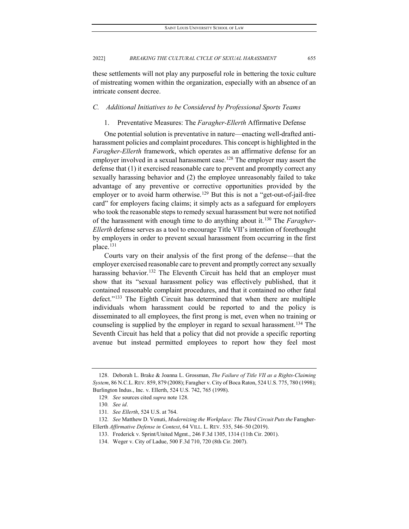these settlements will not play any purposeful role in bettering the toxic culture of mistreating women within the organization, especially with an absence of an intricate consent decree.

#### *C. Additional Initiatives to be Considered by Professional Sports Teams*

#### 1. Preventative Measures: The *Faragher-Ellerth* Affirmative Defense

One potential solution is preventative in nature—enacting well-drafted antiharassment policies and complaint procedures. This concept is highlighted in the *Faragher-Ellerth* framework, which operates as an affirmative defense for an employer involved in a sexual harassment case.<sup>[128](#page-19-0)</sup> The employer may assert the defense that (1) it exercised reasonable care to prevent and promptly correct any sexually harassing behavior and (2) the employee unreasonably failed to take advantage of any preventive or corrective opportunities provided by the employer or to avoid harm otherwise.<sup>[129](#page-19-1)</sup> But this is not a "get-out-of-jail-free card" for employers facing claims; it simply acts as a safeguard for employers who took the reasonable steps to remedy sexual harassment but were not notified of the harassment with enough time to do anything about it.[130](#page-19-2) The *Faragher-Ellerth* defense serves as a tool to encourage Title VII's intention of forethought by employers in order to prevent sexual harassment from occurring in the first place.<sup>[131](#page-19-3)</sup>

Courts vary on their analysis of the first prong of the defense—that the employer exercised reasonable care to prevent and promptly correct any sexually harassing behavior.<sup>[132](#page-19-4)</sup> The Eleventh Circuit has held that an employer must show that its "sexual harassment policy was effectively published, that it contained reasonable complaint procedures, and that it contained no other fatal defect."<sup>[133](#page-19-5)</sup> The Eighth Circuit has determined that when there are multiple individuals whom harassment could be reported to and the policy is disseminated to all employees, the first prong is met, even when no training or counseling is supplied by the employer in regard to sexual harassment.<sup>[134](#page-19-6)</sup> The Seventh Circuit has held that a policy that did not provide a specific reporting avenue but instead permitted employees to report how they feel most

<span id="page-19-1"></span><span id="page-19-0"></span><sup>128.</sup> Deborah L. Brake & Joanna L. Grossman, *The Failure of Title VII as a Rights-Claiming System*, 86 N.C.L.REV. 859, 879 (2008); Faragher v. City of Boca Raton, 524 U.S. 775, 780 (1998); Burlington Indus., Inc. v. Ellerth, 524 U.S. 742, 765 (1998).

<sup>129</sup>*. See* sources cited *supra* note 128.

<sup>130</sup>*. See id*.

<sup>131</sup>*. See Ellerth*, 524 U.S. at 764.

<span id="page-19-6"></span><span id="page-19-5"></span><span id="page-19-4"></span><span id="page-19-3"></span><span id="page-19-2"></span><sup>132.</sup> See Matthew D. Venuti, *Modernizing the Workplace: The Third Circuit Puts the Faragher-*Ellerth *Affirmative Defense in Context*, 64 VILL. L. REV. 535, 546–50 (2019).

<sup>133.</sup> Frederick v. Sprint/United Mgmt., 246 F.3d 1305, 1314 (11th Cir. 2001).

<sup>134.</sup> Weger v. City of Ladue, 500 F.3d 710, 720 (8th Cir. 2007).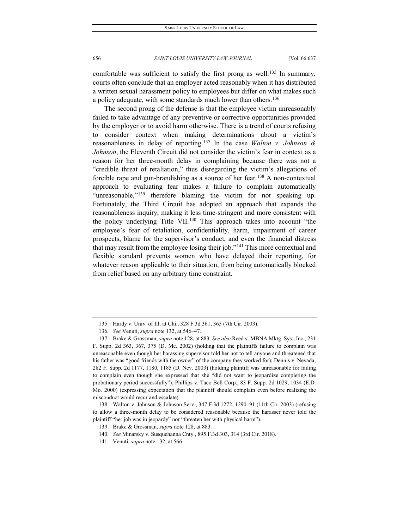comfortable was sufficient to satisfy the first prong as well.<sup>[135](#page-20-0)</sup> In summary, courts often conclude that an employer acted reasonably when it has distributed a written sexual harassment policy to employees but differ on what makes such a policy adequate, with some standards much lower than others.<sup>[136](#page-20-1)</sup>

The second prong of the defense is that the employee victim unreasonably failed to take advantage of any preventive or corrective opportunities provided by the employer or to avoid harm otherwise. There is a trend of courts refusing to consider context when making determinations about a victim's reasonableness in delay of reporting.[137](#page-20-2) In the case *Walton v. Johnson & Johnson*, the Eleventh Circuit did not consider the victim's fear in context as a reason for her three-month delay in complaining because there was not a "credible threat of retaliation," thus disregarding the victim's allegations of forcible rape and gun-brandishing as a source of her fear.<sup>[138](#page-20-3)</sup> A non-contextual approach to evaluating fear makes a failure to complain automatically "unreasonable,"<sup>[139](#page-20-4)</sup> therefore blaming the victim for not speaking up. Fortunately, the Third Circuit has adopted an approach that expands the reasonableness inquiry, making it less time-stringent and more consistent with the policy underlying Title VII.<sup>[140](#page-20-5)</sup> This approach takes into account "the employee's fear of retaliation, confidentiality, harm, impairment of career prospects, blame for the supervisor's conduct, and even the financial distress that may result from the employee losing their job."<sup>[141](#page-20-6)</sup> This more contextual and flexible standard prevents women who have delayed their reporting, for whatever reason applicable to their situation, from being automatically blocked from relief based on any arbitrary time constraint.

<sup>135.</sup> Hardy v. Univ. of Ill. at Chi., 328 F.3d 361, 365 (7th Cir. 2003).

<sup>136</sup>*. See* Venuti, *supra* note 132, at 546–47.

<span id="page-20-2"></span><span id="page-20-1"></span><span id="page-20-0"></span><sup>137.</sup> Brake & Grossman, *supra* note 128, at 883. *See also* Reed v. MBNA Mktg. Sys., Inc., 231 F. Supp. 2d 363, 367, 375 (D. Me. 2002) (holding that the plaintiffs failure to complain was unreasonable even though her harassing supervisor told her not to tell anyone and threatened that his father was "good friends with the owner" of the company they worked for); Dennis v. Nevada, 282 F. Supp. 2d 1177, 1180, 1185 (D. Nev. 2003) (holding plaintiff was unreasonable for failing to complain even though she expressed that she "did not want to jeopardize completing the probationary period successfully"); Phillips v. Taco Bell Corp., 83 F. Supp. 2d 1029, 1034 (E.D. Mo. 2000) (expressing expectation that the plaintiff should complain even before realizing the misconduct would recur and escalate).

<span id="page-20-5"></span><span id="page-20-4"></span><span id="page-20-3"></span><sup>138.</sup> Walton v. Johnson & Johnson Serv., 347 F.3d 1272, 1290–91 (11th Cir. 2003) (refusing to allow a three-month delay to be considered reasonable because the harasser never told the plaintiff "her job was in jeopardy" nor "threaten her with physical harm").

<sup>139.</sup> Brake & Grossman, *supra* note 128, at 883.

<sup>140</sup>*. See* Minarsky v. Susquehanna Cnty., 895 F.3d 303, 314 (3rd Cir. 2018).

<span id="page-20-6"></span><sup>141.</sup> Venuti, *supra* note 132, at 566.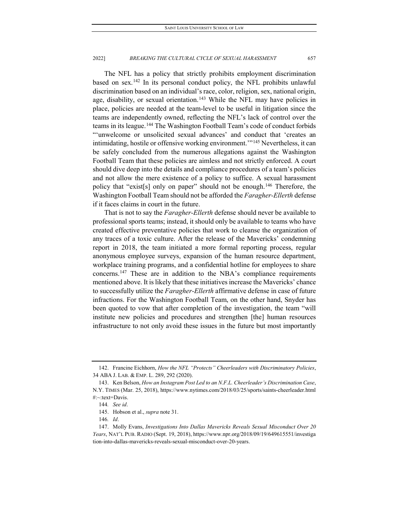The NFL has a policy that strictly prohibits employment discrimination based on sex.<sup>[142](#page-21-0)</sup> In its personal conduct policy, the NFL prohibits unlawful discrimination based on an individual's race, color, religion, sex, national origin, age, disability, or sexual orientation.<sup>[143](#page-21-1)</sup> While the NFL may have policies in place, policies are needed at the team-level to be useful in litigation since the teams are independently owned, reflecting the NFL's lack of control over the teams in its league.[144](#page-21-2) The Washington Football Team's code of conduct forbids "'unwelcome or unsolicited sexual advances' and conduct that 'creates an intimidating, hostile or offensive working environment.'"[145](#page-21-3) Nevertheless, it can be safely concluded from the numerous allegations against the Washington Football Team that these policies are aimless and not strictly enforced. A court should dive deep into the details and compliance procedures of a team's policies and not allow the mere existence of a policy to suffice. A sexual harassment policy that "exist[s] only on paper" should not be enough.<sup>[146](#page-21-4)</sup> Therefore, the Washington Football Team should not be afforded the *Faragher-Ellerth* defense if it faces claims in court in the future.

That is not to say the *Faragher-Ellerth* defense should never be available to professional sports teams; instead, it should only be available to teams who have created effective preventative policies that work to cleanse the organization of any traces of a toxic culture. After the release of the Mavericks' condemning report in 2018, the team initiated a more formal reporting process, regular anonymous employee surveys, expansion of the human resource department, workplace training programs, and a confidential hotline for employees to share concerns[.147](#page-21-5) These are in addition to the NBA's compliance requirements mentioned above. It is likely that these initiatives increase the Mavericks' chance to successfully utilize the *Faragher-Ellerth* affirmative defense in case of future infractions. For the Washington Football Team, on the other hand, Snyder has been quoted to vow that after completion of the investigation, the team "will institute new policies and procedures and strengthen [the] human resources infrastructure to not only avoid these issues in the future but most importantly

<span id="page-21-0"></span><sup>142.</sup> Francine Eichhorn, *How the NFL "Protects" Cheerleaders with Discriminatory Policies*, 34 ABA J. LAB. & EMP. L. 289, 292 (2020).

<span id="page-21-2"></span><span id="page-21-1"></span><sup>143.</sup> Ken Belson, *How an Instagram Post Led to an N.F.L. Cheerleader's Discrimination Case*, N.Y. TIMES (Mar. 25, 2018), https://www.nytimes.com/2018/03/25/sports/saints-cheerleader.html #:~:text=Davis.

<sup>144</sup>*. See id*.

<sup>145.</sup> Hobson et al., *supra* note 31.

<sup>146</sup>*. Id*.

<span id="page-21-5"></span><span id="page-21-4"></span><span id="page-21-3"></span><sup>147.</sup> Molly Evans, *Investigations Into Dallas Mavericks Reveals Sexual Misconduct Over 20 Years*, NAT'L PUB. RADIO (Sept. 19, 2018), https://www.npr.org/2018/09/19/649615551/investiga tion-into-dallas-mavericks-reveals-sexual-misconduct-over-20-years.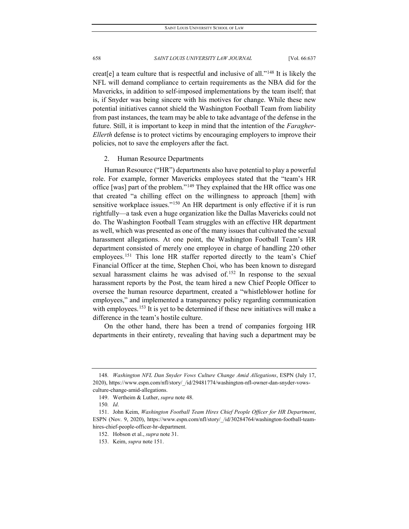creat[e] a team culture that is respectful and inclusive of all."[148](#page-22-0) It is likely the NFL will demand compliance to certain requirements as the NBA did for the Mavericks, in addition to self-imposed implementations by the team itself; that is, if Snyder was being sincere with his motives for change. While these new potential initiatives cannot shield the Washington Football Team from liability from past instances, the team may be able to take advantage of the defense in the future. Still, it is important to keep in mind that the intention of the *Faragher-Ellerth* defense is to protect victims by encouraging employers to improve their policies, not to save the employers after the fact.

#### 2. Human Resource Departments

Human Resource ("HR") departments also have potential to play a powerful role. For example, former Mavericks employees stated that the "team's HR office [was] part of the problem."[149](#page-22-1) They explained that the HR office was one that created "a chilling effect on the willingness to approach [them] with sensitive workplace issues."<sup>[150](#page-22-2)</sup> An HR department is only effective if it is run rightfully—a task even a huge organization like the Dallas Mavericks could not do. The Washington Football Team struggles with an effective HR department as well, which was presented as one of the many issues that cultivated the sexual harassment allegations. At one point, the Washington Football Team's HR department consisted of merely one employee in charge of handling 220 other employees.<sup>[151](#page-22-3)</sup> This lone HR staffer reported directly to the team's Chief Financial Officer at the time, Stephen Choi, who has been known to disregard sexual harassment claims he was advised of.<sup>[152](#page-22-4)</sup> In response to the sexual harassment reports by the Post, the team hired a new Chief People Officer to oversee the human resource department, created a "whistleblower hotline for employees," and implemented a transparency policy regarding communication with employees.<sup>[153](#page-22-5)</sup> It is yet to be determined if these new initiatives will make a difference in the team's hostile culture.

On the other hand, there has been a trend of companies forgoing HR departments in their entirety, revealing that having such a department may be

<span id="page-22-0"></span><sup>148</sup>*. Washington NFL Dan Snyder Vows Culture Change Amid Allegations*, ESPN (July 17, 2020), https://www.espn.com/nfl/story/\_/id/29481774/washington-nfl-owner-dan-snyder-vowsculture-change-amid-allegations.

<sup>149.</sup> Wertheim & Luther, *supra* note 48.

<sup>150</sup>*. Id*.

<span id="page-22-5"></span><span id="page-22-4"></span><span id="page-22-3"></span><span id="page-22-2"></span><span id="page-22-1"></span><sup>151.</sup> John Keim, *Washington Football Team Hires Chief People Officer for HR Department*, ESPN (Nov. 9, 2020), https://www.espn.com/nfl/story/ /id/30284764/washington-football-teamhires-chief-people-officer-hr-department.

<sup>152.</sup> Hobson et al., *supra* note 31.

<sup>153.</sup> Keim, *supra* note 151.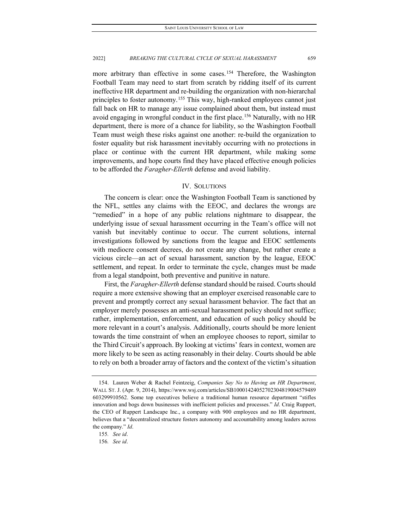more arbitrary than effective in some cases.<sup>[154](#page-23-0)</sup> Therefore, the Washington Football Team may need to start from scratch by ridding itself of its current ineffective HR department and re-building the organization with non-hierarchal principles to foster autonomy.<sup>[155](#page-23-1)</sup> This way, high-ranked employees cannot just fall back on HR to manage any issue complained about them, but instead must avoid engaging in wrongful conduct in the first place.<sup>[156](#page-23-2)</sup> Naturally, with no HR department, there is more of a chance for liability, so the Washington Football Team must weigh these risks against one another: re-build the organization to foster equality but risk harassment inevitably occurring with no protections in place or continue with the current HR department, while making some improvements, and hope courts find they have placed effective enough policies to be afforded the *Faragher-Ellerth* defense and avoid liability.

# IV. SOLUTIONS

The concern is clear: once the Washington Football Team is sanctioned by the NFL, settles any claims with the EEOC, and declares the wrongs are "remedied" in a hope of any public relations nightmare to disappear, the underlying issue of sexual harassment occurring in the Team's office will not vanish but inevitably continue to occur. The current solutions, internal investigations followed by sanctions from the league and EEOC settlements with mediocre consent decrees, do not create any change, but rather create a vicious circle—an act of sexual harassment, sanction by the league, EEOC settlement, and repeat. In order to terminate the cycle, changes must be made from a legal standpoint, both preventive and punitive in nature.

First, the *Faragher-Ellerth* defense standard should be raised. Courts should require a more extensive showing that an employer exercised reasonable care to prevent and promptly correct any sexual harassment behavior. The fact that an employer merely possesses an anti-sexual harassment policy should not suffice; rather, implementation, enforcement, and education of such policy should be more relevant in a court's analysis. Additionally, courts should be more lenient towards the time constraint of when an employee chooses to report, similar to the Third Circuit's approach. By looking at victims' fears in context, women are more likely to be seen as acting reasonably in their delay. Courts should be able to rely on both a broader array of factors and the context of the victim's situation

<span id="page-23-0"></span><sup>154.</sup> Lauren Weber & Rachel Feintzeig, *Companies Say No to Having an HR Department*, WALL ST. J. (Apr. 9, 2014), https://www.wsj.com/articles/SB10001424052702304819004579489 603299910562. Some top executives believe a traditional human resource department "stifles innovation and bogs down businesses with inefficient policies and processes." *Id*. Craig Ruppert, the CEO of Ruppert Landscape Inc., a company with 900 employees and no HR department, believes that a "decentralized structure fosters autonomy and accountability among leaders across the company." *Id*.

<span id="page-23-1"></span><sup>155</sup>*. See id*.

<span id="page-23-2"></span><sup>156</sup>*. See id*.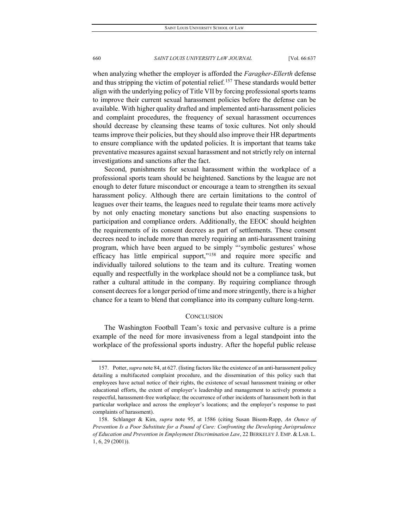when analyzing whether the employer is afforded the *Faragher-Ellerth* defense and thus stripping the victim of potential relief.<sup>[157](#page-24-0)</sup> These standards would better align with the underlying policy of Title VII by forcing professional sports teams to improve their current sexual harassment policies before the defense can be available. With higher quality drafted and implemented anti-harassment policies and complaint procedures, the frequency of sexual harassment occurrences should decrease by cleansing these teams of toxic cultures. Not only should teams improve their policies, but they should also improve their HR departments to ensure compliance with the updated policies. It is important that teams take preventative measures against sexual harassment and not strictly rely on internal investigations and sanctions after the fact.

Second, punishments for sexual harassment within the workplace of a professional sports team should be heightened. Sanctions by the league are not enough to deter future misconduct or encourage a team to strengthen its sexual harassment policy. Although there are certain limitations to the control of leagues over their teams, the leagues need to regulate their teams more actively by not only enacting monetary sanctions but also enacting suspensions to participation and compliance orders. Additionally, the EEOC should heighten the requirements of its consent decrees as part of settlements. These consent decrees need to include more than merely requiring an anti-harassment training program, which have been argued to be simply "'symbolic gestures' whose efficacy has little empirical support,"[158](#page-24-1) and require more specific and individually tailored solutions to the team and its culture. Treating women equally and respectfully in the workplace should not be a compliance task, but rather a cultural attitude in the company. By requiring compliance through consent decrees for a longer period of time and more stringently, there is a higher chance for a team to blend that compliance into its company culture long-term.

# **CONCLUSION**

The Washington Football Team's toxic and pervasive culture is a prime example of the need for more invasiveness from a legal standpoint into the workplace of the professional sports industry. After the hopeful public release

<span id="page-24-0"></span><sup>157.</sup> Potter, *supra* note 84, at 627. (listing factors like the existence of an anti-harassment policy detailing a multifaceted complaint procedure, and the dissemination of this policy such that employees have actual notice of their rights, the existence of sexual harassment training or other educational efforts, the extent of employer's leadership and management to actively promote a respectful, harassment-free workplace; the occurrence of other incidents of harassment both in that particular workplace and across the employer's locations; and the employer's response to past complaints of harassment).

<span id="page-24-1"></span><sup>158.</sup> Schlanger & Kim, *supra* note 95, at 1586 (citing Susan Bisom-Rapp, *An Ounce of Prevention Is a Poor Substitute for a Pound of Cure: Confronting the Developing Jurisprudence of Education and Prevention in Employment Discrimination Law*, 22 BERKELEY J. EMP. & LAB. L. 1, 6, 29 (2001)).